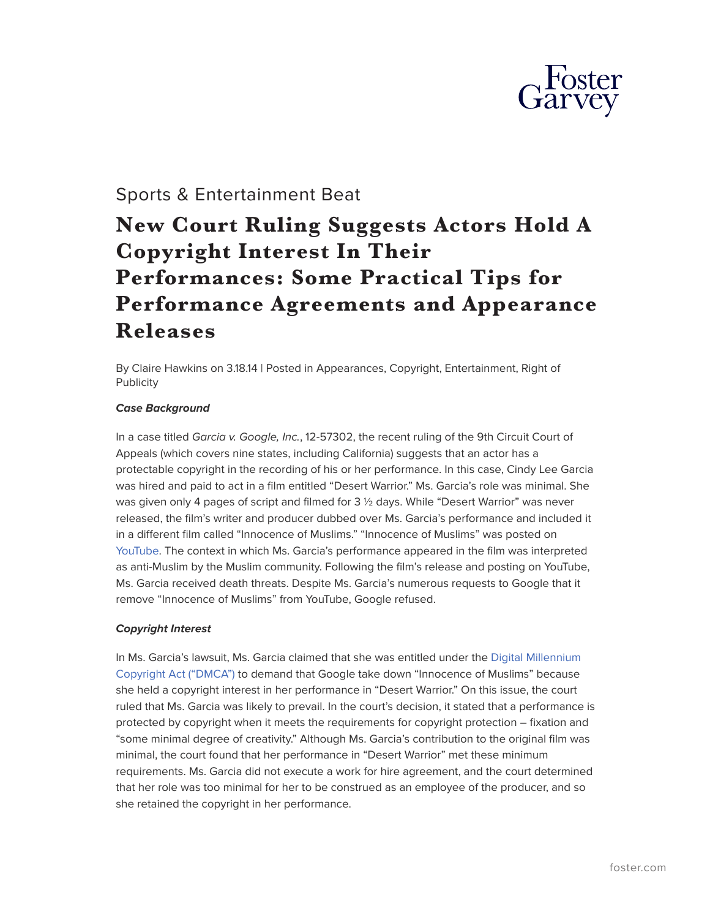

# Sports & Entertainment Beat

# **New Court Ruling Suggests Actors Hold A Copyright Interest In Their Performances: Some Practical Tips for Performance Agreements and Appearance Releases**

By Claire Hawkins on 3.18.14 | Posted in Appearances, Copyright, Entertainment, Right of **Publicity** 

## *Case Background*

In a case titled *Garcia v. Google, Inc.*, 12-57302, the recent ruling of the 9th Circuit Court of Appeals (which covers nine states, including California) suggests that an actor has a protectable copyright in the recording of his or her performance. In this case, Cindy Lee Garcia was hired and paid to act in a film entitled "Desert Warrior." Ms. Garcia's role was minimal. She was given only 4 pages of script and filmed for 3 ½ days. While "Desert Warrior" was never released, the film's writer and producer dubbed over Ms. Garcia's performance and included it in a different film called "Innocence of Muslims." "Innocence of Muslims" was posted on [YouTube](https://www.youtube.com/). The context in which Ms. Garcia's performance appeared in the film was interpreted as anti-Muslim by the Muslim community. Following the film's release and posting on YouTube, Ms. Garcia received death threats. Despite Ms. Garcia's numerous requests to Google that it remove "Innocence of Muslims" from YouTube, Google refused.

# *Copyright Interest*

In Ms. Garcia's lawsuit, Ms. Garcia claimed that she was entitled under the [Digital Millennium](http://www.copyright.gov/legislation/dmca.pdf) [Copyright Act \("DMCA"\)](http://www.copyright.gov/legislation/dmca.pdf) to demand that Google take down "Innocence of Muslims" because she held a copyright interest in her performance in "Desert Warrior." On this issue, the court ruled that Ms. Garcia was likely to prevail. In the court's decision, it stated that a performance is protected by copyright when it meets the requirements for copyright protection – fixation and "some minimal degree of creativity." Although Ms. Garcia's contribution to the original film was minimal, the court found that her performance in "Desert Warrior" met these minimum requirements. Ms. Garcia did not execute a work for hire agreement, and the court determined that her role was too minimal for her to be construed as an employee of the producer, and so she retained the copyright in her performance.